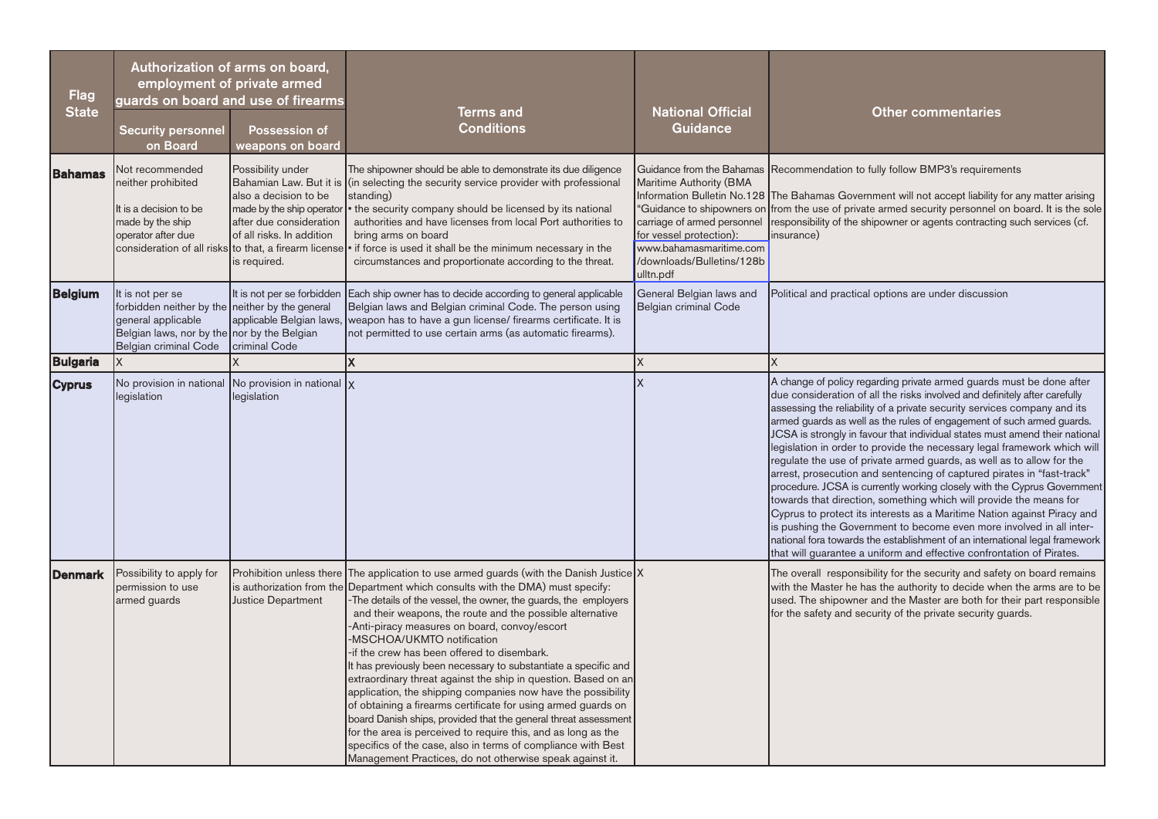| <b>Flag</b><br>State | employment of private armed<br>guards on board and use of firearms<br><b>Security personnel</b><br>on Board                                                              | Authorization of arms on board,<br><b>Possession of</b><br>weapons on board                                                                                                                                                         | <b>Terms and</b><br><b>Conditions</b>                                                                                                                                                                                                                                                                                                                                                                                                                                                                                                                                                                                                                                                                                                                                                                                                                                                                                                                 | <b>National Official</b><br><b>Guidance</b>                                                                                                            | <b>Other commentaries</b>                                                                                                                                                                                                                                                                                                                                                                                                                                                                                                                                                                                                                                                                                                                                                                                                                                                                                                                                                                                                                                                         |
|----------------------|--------------------------------------------------------------------------------------------------------------------------------------------------------------------------|-------------------------------------------------------------------------------------------------------------------------------------------------------------------------------------------------------------------------------------|-------------------------------------------------------------------------------------------------------------------------------------------------------------------------------------------------------------------------------------------------------------------------------------------------------------------------------------------------------------------------------------------------------------------------------------------------------------------------------------------------------------------------------------------------------------------------------------------------------------------------------------------------------------------------------------------------------------------------------------------------------------------------------------------------------------------------------------------------------------------------------------------------------------------------------------------------------|--------------------------------------------------------------------------------------------------------------------------------------------------------|-----------------------------------------------------------------------------------------------------------------------------------------------------------------------------------------------------------------------------------------------------------------------------------------------------------------------------------------------------------------------------------------------------------------------------------------------------------------------------------------------------------------------------------------------------------------------------------------------------------------------------------------------------------------------------------------------------------------------------------------------------------------------------------------------------------------------------------------------------------------------------------------------------------------------------------------------------------------------------------------------------------------------------------------------------------------------------------|
| Bahamas              | Not recommended<br>neither prohibited<br>It is a decision to be<br>made by the ship<br>operator after due                                                                | Possibility under<br>Bahamian Law. But it is<br>also a decision to be<br>made by the ship operator<br>after due consideration<br>of all risks. In addition<br>consideration of all risks to that, a firearm license<br>is required. | The shipowner should be able to demonstrate its due diligence<br>(in selecting the security service provider with professional<br>standing)<br>the security company should be licensed by its national<br>authorities and have licenses from local Port authorities to<br>bring arms on board<br>if force is used it shall be the minimum necessary in the<br>circumstances and proportionate according to the threat.                                                                                                                                                                                                                                                                                                                                                                                                                                                                                                                                | Maritime Authority (BMA<br>carriage of armed personnel<br>for vessel protection):<br>www.bahamasmaritime.com<br>/downloads/Bulletins/128b<br>ulltn.pdf | Guidance from the Bahamas Recommendation to fully follow BMP3's requirements<br>Information Bulletin No.128 The Bahamas Government will not accept liability for any matter arising<br>"Guidance to shipowners on from the use of private armed security personnel on board. It is the sole<br>responsibility of the shipowner or agents contracting such services (cf.<br>insurance)                                                                                                                                                                                                                                                                                                                                                                                                                                                                                                                                                                                                                                                                                             |
| <b>Belgium</b>       | It is not per se<br>forbidden neither by the neither by the general<br>general applicable<br>Belgian laws, nor by the nor by the Belgian<br><b>Belgian criminal Code</b> | It is not per se forbidden<br>applicable Belgian laws,<br>criminal Code                                                                                                                                                             | Each ship owner has to decide according to general applicable<br>Belgian laws and Belgian criminal Code. The person using<br>weapon has to have a gun license/ firearms certificate. It is<br>not permitted to use certain arms (as automatic firearms).                                                                                                                                                                                                                                                                                                                                                                                                                                                                                                                                                                                                                                                                                              | General Belgian laws and<br><b>Belgian criminal Code</b>                                                                                               | Political and practical options are under discussion                                                                                                                                                                                                                                                                                                                                                                                                                                                                                                                                                                                                                                                                                                                                                                                                                                                                                                                                                                                                                              |
| <b>Bulgaria</b>      |                                                                                                                                                                          |                                                                                                                                                                                                                                     | X                                                                                                                                                                                                                                                                                                                                                                                                                                                                                                                                                                                                                                                                                                                                                                                                                                                                                                                                                     | X                                                                                                                                                      | X                                                                                                                                                                                                                                                                                                                                                                                                                                                                                                                                                                                                                                                                                                                                                                                                                                                                                                                                                                                                                                                                                 |
| <b>Cyprus</b>        | legislation                                                                                                                                                              | No provision in national $\vert$ No provision in national $\vert x \vert$<br>legislation                                                                                                                                            |                                                                                                                                                                                                                                                                                                                                                                                                                                                                                                                                                                                                                                                                                                                                                                                                                                                                                                                                                       | <b>X</b>                                                                                                                                               | A change of policy regarding private armed guards must be done after<br>due consideration of all the risks involved and definitely after carefully<br>assessing the reliability of a private security services company and its<br>armed guards as well as the rules of engagement of such armed guards.<br>JCSA is strongly in favour that individual states must amend their national<br>legislation in order to provide the necessary legal framework which will<br>regulate the use of private armed guards, as well as to allow for the<br>arrest, prosecution and sentencing of captured pirates in "fast-track"<br>procedure. JCSA is currently working closely with the Cyprus Government<br>towards that direction, something which will provide the means for<br>Cyprus to protect its interests as a Maritime Nation against Piracy and<br>is pushing the Government to become even more involved in all inter-<br>national fora towards the establishment of an international legal framework<br>that will guarantee a uniform and effective confrontation of Pirates. |
| <b>Denmark</b>       | Possibility to apply for<br>permission to use<br>armed guards                                                                                                            | is authorization from the<br>Justice Department                                                                                                                                                                                     | Prohibition unless there The application to use armed guards (with the Danish Justice X<br>Department which consults with the DMA) must specify:<br>-The details of the vessel, the owner, the guards, the employers<br>and their weapons, the route and the possible alternative<br>-Anti-piracy measures on board, convoy/escort<br>-MSCHOA/UKMTO notification<br>-if the crew has been offered to disembark.<br>It has previously been necessary to substantiate a specific and<br>extraordinary threat against the ship in question. Based on an<br>application, the shipping companies now have the possibility<br>of obtaining a firearms certificate for using armed guards on<br>board Danish ships, provided that the general threat assessment<br>for the area is perceived to require this, and as long as the<br>specifics of the case, also in terms of compliance with Best<br>Management Practices, do not otherwise speak against it. |                                                                                                                                                        | The overall responsibility for the security and safety on board remains<br>with the Master he has the authority to decide when the arms are to be<br>used. The shipowner and the Master are both for their part responsible<br>for the safety and security of the private security guards.                                                                                                                                                                                                                                                                                                                                                                                                                                                                                                                                                                                                                                                                                                                                                                                        |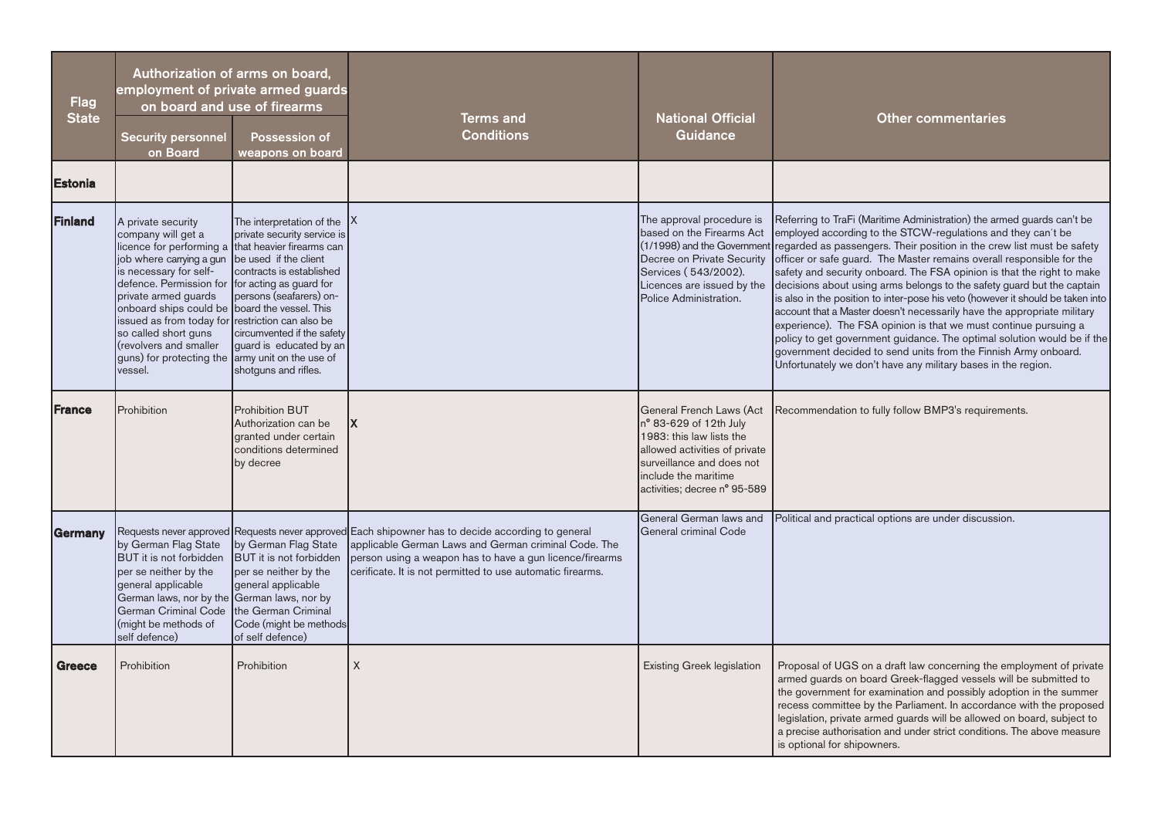| <b>Flag</b><br><b>State</b> | <b>Security personnel</b><br>on Board                                                                                                                                                                                                                                                                                                                                   | Authorization of arms on board,<br>employment of private armed guards<br>on board and use of firearms<br><b>Possession of</b><br>weapons on board                                                                                                                                                          | <b>Terms and</b><br><b>Conditions</b>                                                                                                                                                                                                                                               | <b>National Official</b><br>Guidance                                                                                                                                                                        | <b>Other commentaries</b>                                                                                                                                                                                                                                                                                                                                                                                                                                                                                                                                                                                                                                                                                                                                                                                                                                                                                                                             |
|-----------------------------|-------------------------------------------------------------------------------------------------------------------------------------------------------------------------------------------------------------------------------------------------------------------------------------------------------------------------------------------------------------------------|------------------------------------------------------------------------------------------------------------------------------------------------------------------------------------------------------------------------------------------------------------------------------------------------------------|-------------------------------------------------------------------------------------------------------------------------------------------------------------------------------------------------------------------------------------------------------------------------------------|-------------------------------------------------------------------------------------------------------------------------------------------------------------------------------------------------------------|-------------------------------------------------------------------------------------------------------------------------------------------------------------------------------------------------------------------------------------------------------------------------------------------------------------------------------------------------------------------------------------------------------------------------------------------------------------------------------------------------------------------------------------------------------------------------------------------------------------------------------------------------------------------------------------------------------------------------------------------------------------------------------------------------------------------------------------------------------------------------------------------------------------------------------------------------------|
| Estonia                     |                                                                                                                                                                                                                                                                                                                                                                         |                                                                                                                                                                                                                                                                                                            |                                                                                                                                                                                                                                                                                     |                                                                                                                                                                                                             |                                                                                                                                                                                                                                                                                                                                                                                                                                                                                                                                                                                                                                                                                                                                                                                                                                                                                                                                                       |
| Finland                     | A private security<br>company will get a<br>job where carrying a gun<br>is necessary for self-<br>defence. Permission for<br>private armed guards<br>onboard ships could be board the vessel. This<br>issued as from today for restriction can also be<br>so called short guns<br>(revolvers and smaller<br>guns) for protecting the army unit on the use of<br>vessel. | The interpretation of the<br>private security service is<br>licence for performing a that heavier firearms can<br>be used if the client<br>contracts is established<br>for acting as guard for<br>persons (seafarers) on-<br>circumvented if the safety<br>guard is educated by an<br>shotguns and rifles. |                                                                                                                                                                                                                                                                                     | The approval procedure is<br>based on the Firearms Act<br>Services (543/2002).<br>Licences are issued by the<br>Police Administration.                                                                      | Referring to TraFi (Maritime Administration) the armed guards can't be<br>employed according to the STCW-regulations and they can't be<br>(1/1998) and the Government regarded as passengers. Their position in the crew list must be safety<br>Decree on Private Security officer or safe guard. The Master remains overall responsible for the<br>safety and security onboard. The FSA opinion is that the right to make<br>decisions about using arms belongs to the safety guard but the captain<br>is also in the position to inter-pose his veto (however it should be taken into<br>account that a Master doesn't necessarily have the appropriate military<br>experience). The FSA opinion is that we must continue pursuing a<br>policy to get government guidance. The optimal solution would be if the<br>government decided to send units from the Finnish Army onboard.<br>Unfortunately we don't have any military bases in the region. |
| <b> France</b>              | Prohibition                                                                                                                                                                                                                                                                                                                                                             | <b>Prohibition BUT</b><br>Authorization can be<br>granted under certain<br>conditions determined<br>by decree                                                                                                                                                                                              | IX.                                                                                                                                                                                                                                                                                 | <b>General French Laws (Act</b><br>n° 83-629 of 12th July<br>1983: this law lists the<br>allowed activities of private<br>surveillance and does not<br>include the maritime<br>activities; decree n° 95-589 | Recommendation to fully follow BMP3's requirements.                                                                                                                                                                                                                                                                                                                                                                                                                                                                                                                                                                                                                                                                                                                                                                                                                                                                                                   |
| Germany                     | by German Flag State<br><b>BUT</b> it is not forbidden<br>per se neither by the<br>general applicable<br>German laws, nor by the German laws, nor by<br>German Criminal Code<br>(might be methods of<br>self defence)                                                                                                                                                   | by German Flag State<br><b>BUT</b> it is not forbidden<br>per se neither by the<br>general applicable<br>the German Criminal<br>Code (might be methods<br>of self defence)                                                                                                                                 | Requests never approved Requests never approved Each shipowner has to decide according to general<br>applicable German Laws and German criminal Code. The<br>person using a weapon has to have a gun licence/firearms<br>cerificate. It is not permitted to use automatic firearms. | General German laws and<br>General criminal Code                                                                                                                                                            | Political and practical options are under discussion.                                                                                                                                                                                                                                                                                                                                                                                                                                                                                                                                                                                                                                                                                                                                                                                                                                                                                                 |
| Greece                      | Prohibition                                                                                                                                                                                                                                                                                                                                                             | Prohibition                                                                                                                                                                                                                                                                                                | X                                                                                                                                                                                                                                                                                   | Existing Greek legislation                                                                                                                                                                                  | Proposal of UGS on a draft law concerning the employment of private<br>armed guards on board Greek-flagged vessels will be submitted to<br>the government for examination and possibly adoption in the summer<br>recess committee by the Parliament. In accordance with the proposed<br>legislation, private armed guards will be allowed on board, subject to<br>a precise authorisation and under strict conditions. The above measure<br>is optional for shipowners.                                                                                                                                                                                                                                                                                                                                                                                                                                                                               |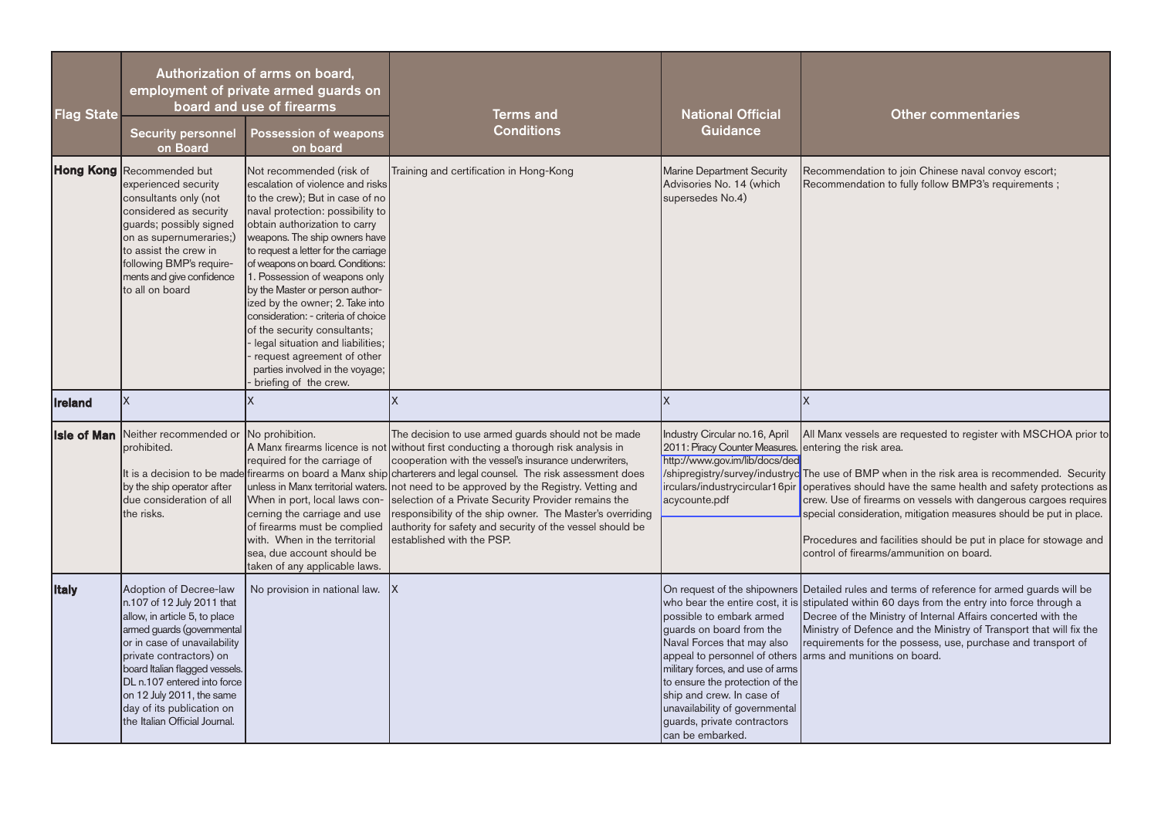| <b>Flag State</b>  | <b>Security personnel</b><br>on Board                                                                                                                                                                                                                                                                                                      | Authorization of arms on board,<br>employment of private armed guards on<br>board and use of firearms<br><b>Possession of weapons</b><br>on board                                                                                                                                                                                                                                                                                                                                                                                                                                             | <b>Terms and</b><br><b>Conditions</b>                                                                                                                                                                                                                                                                                                                                                                                                                                                                                                                                                                                             | <b>National Official</b><br>Guidance                                                                                                                                                                                                                                        | <b>Other commentaries</b>                                                                                                                                                                                                                                                                                                                                                                                                                                                                                                                               |
|--------------------|--------------------------------------------------------------------------------------------------------------------------------------------------------------------------------------------------------------------------------------------------------------------------------------------------------------------------------------------|-----------------------------------------------------------------------------------------------------------------------------------------------------------------------------------------------------------------------------------------------------------------------------------------------------------------------------------------------------------------------------------------------------------------------------------------------------------------------------------------------------------------------------------------------------------------------------------------------|-----------------------------------------------------------------------------------------------------------------------------------------------------------------------------------------------------------------------------------------------------------------------------------------------------------------------------------------------------------------------------------------------------------------------------------------------------------------------------------------------------------------------------------------------------------------------------------------------------------------------------------|-----------------------------------------------------------------------------------------------------------------------------------------------------------------------------------------------------------------------------------------------------------------------------|---------------------------------------------------------------------------------------------------------------------------------------------------------------------------------------------------------------------------------------------------------------------------------------------------------------------------------------------------------------------------------------------------------------------------------------------------------------------------------------------------------------------------------------------------------|
|                    | <b>Hong Kong Recommended but</b><br>experienced security<br>consultants only (not<br>considered as security<br>guards; possibly signed<br>on as supernumeraries;)<br>to assist the crew in<br>following BMP's require-<br>ments and give confidence<br>to all on board                                                                     | Not recommended (risk of<br>escalation of violence and risks<br>to the crew); But in case of no<br>naval protection: possibility to<br>obtain authorization to carry<br>weapons. The ship owners have<br>to request a letter for the carriage<br>of weapons on board. Conditions:<br>1. Possession of weapons only<br>by the Master or person author-<br>ized by the owner; 2. Take into<br>consideration: - criteria of choice<br>of the security consultants;<br>legal situation and liabilities;<br>request agreement of other<br>parties involved in the voyage;<br>briefing of the crew. | Training and certification in Hong-Kong                                                                                                                                                                                                                                                                                                                                                                                                                                                                                                                                                                                           | Marine Department Security<br>Advisories No. 14 (which<br>supersedes No.4)                                                                                                                                                                                                  | Recommendation to join Chinese naval convoy escort;<br>Recommendation to fully follow BMP3's requirements;                                                                                                                                                                                                                                                                                                                                                                                                                                              |
| <b>Ireland</b>     | Ιx                                                                                                                                                                                                                                                                                                                                         |                                                                                                                                                                                                                                                                                                                                                                                                                                                                                                                                                                                               | X                                                                                                                                                                                                                                                                                                                                                                                                                                                                                                                                                                                                                                 | Ιx                                                                                                                                                                                                                                                                          | X                                                                                                                                                                                                                                                                                                                                                                                                                                                                                                                                                       |
| <b>Isle of Man</b> | Neither recommended or No prohibition.<br>prohibited.<br>by the ship operator after<br>due consideration of all<br>the risks.                                                                                                                                                                                                              | required for the carriage of<br>When in port, local laws con-<br>cerning the carriage and use<br>of firearms must be complied<br>with. When in the territorial<br>sea, due account should be<br>taken of any applicable laws.                                                                                                                                                                                                                                                                                                                                                                 | The decision to use armed guards should not be made<br>A Manx firearms licence is not without first conducting a thorough risk analysis in<br>cooperation with the vessel's insurance underwriters,<br>It is a decision to be made firearms on board a Manx ship charterers and legal counsel. The risk assessment does<br>unless in Manx territorial waters. not need to be approved by the Registry. Vetting and<br>selection of a Private Security Provider remains the<br>responsibility of the ship owner. The Master's overriding<br>authority for safety and security of the vessel should be<br>established with the PSP. | Industry Circular no.16, April<br>2011: Piracy Counter Measures.<br>http://www.gov.im/lib/docs/ded<br>acycounte.pdf                                                                                                                                                         | All Manx vessels are requested to register with MSCHOA prior to<br>entering the risk area.<br>/shipregistry/survey/industryc The use of BMP when in the risk area is recommended. Security<br>irculars/industrycircular16pir operatives should have the same health and safety protections as<br>crew. Use of firearms on vessels with dangerous cargoes requires<br>special consideration, mitigation measures should be put in place.<br>Procedures and facilities should be put in place for stowage and<br>control of firearms/ammunition on board. |
| <b>Italy</b>       | Adoption of Decree-law<br>n.107 of 12 July 2011 that<br>allow, in article 5, to place<br>armed guards (governmental<br>or in case of unavailability<br>private contractors) on<br>board Italian flagged vessels.<br>DL n.107 entered into force<br>on 12 July 2011, the same<br>day of its publication on<br>the Italian Official Journal. | No provision in national law.                                                                                                                                                                                                                                                                                                                                                                                                                                                                                                                                                                 | IX                                                                                                                                                                                                                                                                                                                                                                                                                                                                                                                                                                                                                                | possible to embark armed<br>guards on board from the<br>Naval Forces that may also<br>military forces, and use of arms<br>to ensure the protection of the<br>ship and crew. In case of<br>unavailability of governmental<br>guards, private contractors<br>can be embarked. | On request of the shipowners Detailed rules and terms of reference for armed guards will be<br>who bear the entire cost, it is stipulated within 60 days from the entry into force through a<br>Decree of the Ministry of Internal Affairs concerted with the<br>Ministry of Defence and the Ministry of Transport that will fix the<br>requirements for the possess, use, purchase and transport of<br>appeal to personnel of others arms and munitions on board.                                                                                      |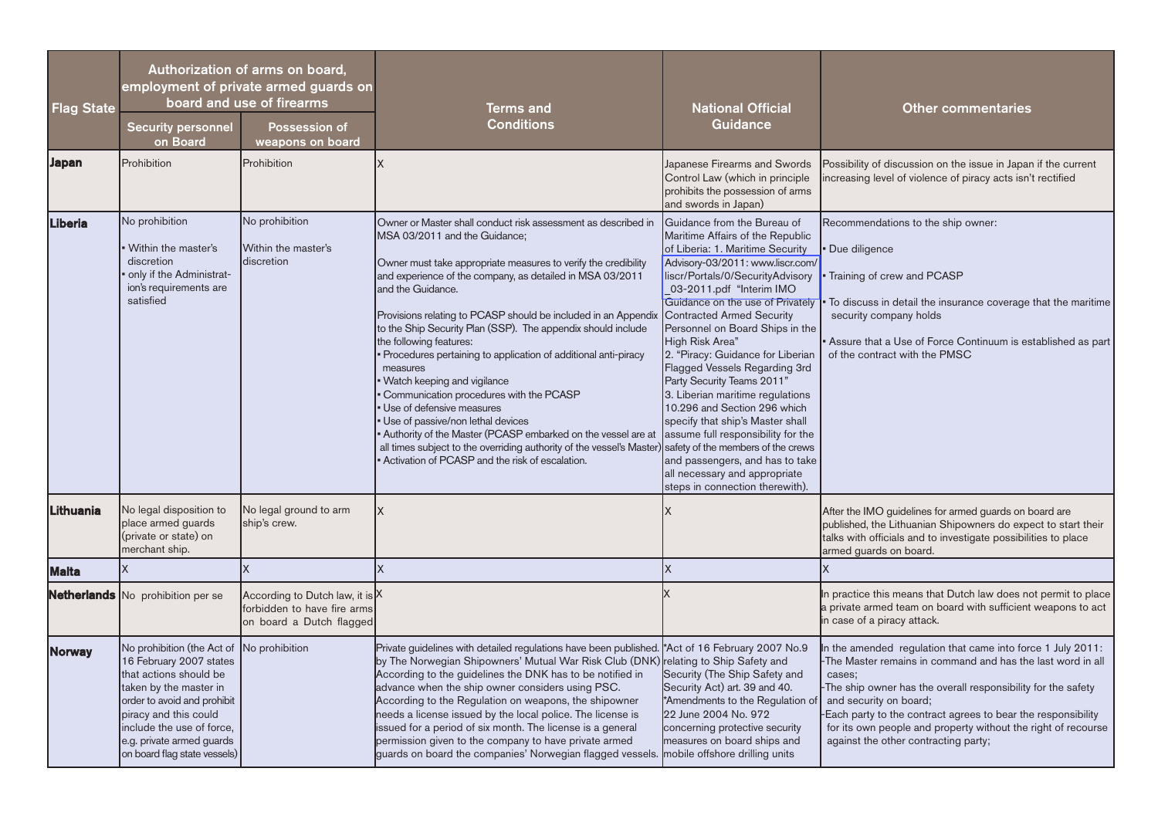| <b>Flag State</b> | <b>Security personnel</b><br>on Board                                                                                                                                                                                                                       | Authorization of arms on board,<br>employment of private armed guards on<br>board and use of firearms<br><b>Possession of</b><br>weapons on board | <b>Terms and</b><br><b>Conditions</b>                                                                                                                                                                                                                                                                                                                                                                                                                                                                                                                                                                                                                                                                                                                                                                                                 | <b>National Official</b><br>Guidance                                                                                                                                                                                                                                                                                                                                                                                                                                                                                                                                                                                                                                                                                                 | <b>Other commentaries</b>                                                                                                                                                                                                                                                                                                                                                                             |
|-------------------|-------------------------------------------------------------------------------------------------------------------------------------------------------------------------------------------------------------------------------------------------------------|---------------------------------------------------------------------------------------------------------------------------------------------------|---------------------------------------------------------------------------------------------------------------------------------------------------------------------------------------------------------------------------------------------------------------------------------------------------------------------------------------------------------------------------------------------------------------------------------------------------------------------------------------------------------------------------------------------------------------------------------------------------------------------------------------------------------------------------------------------------------------------------------------------------------------------------------------------------------------------------------------|--------------------------------------------------------------------------------------------------------------------------------------------------------------------------------------------------------------------------------------------------------------------------------------------------------------------------------------------------------------------------------------------------------------------------------------------------------------------------------------------------------------------------------------------------------------------------------------------------------------------------------------------------------------------------------------------------------------------------------------|-------------------------------------------------------------------------------------------------------------------------------------------------------------------------------------------------------------------------------------------------------------------------------------------------------------------------------------------------------------------------------------------------------|
| Japan             | Prohibition                                                                                                                                                                                                                                                 | Prohibition                                                                                                                                       | X                                                                                                                                                                                                                                                                                                                                                                                                                                                                                                                                                                                                                                                                                                                                                                                                                                     | Japanese Firearms and Swords<br>Control Law (which in principle<br>prohibits the possession of arms<br>and swords in Japan)                                                                                                                                                                                                                                                                                                                                                                                                                                                                                                                                                                                                          | Possibility of discussion on the issue in Japan if the current<br>increasing level of violence of piracy acts isn't rectified                                                                                                                                                                                                                                                                         |
| <b>Liberia</b>    | No prohibition<br>Within the master's<br>discretion<br>only if the Administrat-<br>ion's requirements are<br>satisfied                                                                                                                                      | No prohibition<br>Within the master's<br>discretion                                                                                               | Owner or Master shall conduct risk assessment as described in<br>MSA 03/2011 and the Guidance;<br>Owner must take appropriate measures to verify the credibility<br>and experience of the company, as detailed in MSA 03/2011<br>and the Guidance.<br>Provisions relating to PCASP should be included in an Appendix<br>to the Ship Security Plan (SSP). The appendix should include<br>the following features:<br>Procedures pertaining to application of additional anti-piracy<br>measures<br>Watch keeping and vigilance<br>Communication procedures with the PCASP<br>Use of defensive measures<br>Use of passive/non lethal devices<br>Authority of the Master (PCASP embarked on the vessel are at<br>all times subject to the overriding authority of the vessel's Master)<br>Activation of PCASP and the risk of escalation. | Guidance from the Bureau of<br>Maritime Affairs of the Republic<br>of Liberia: 1. Maritime Security<br>Advisory-03/2011: www.liscr.com/<br>liscr/Portals/0/SecurityAdvisory<br>03-2011.pdf "Interim IMO<br>Guidance on the use of Privately<br><b>Contracted Armed Security</b><br>Personnel on Board Ships in the<br>High Risk Area"<br>2. "Piracy: Guidance for Liberian<br>Flagged Vessels Regarding 3rd<br>Party Security Teams 2011"<br>3. Liberian maritime regulations<br>10.296 and Section 296 which<br>specify that ship's Master shall<br>assume full responsibility for the<br>safety of the members of the crews<br>and passengers, and has to take<br>all necessary and appropriate<br>steps in connection therewith). | Recommendations to the ship owner:<br>Due diligence<br>Training of crew and PCASP<br>To discuss in detail the insurance coverage that the maritime<br>security company holds<br>Assure that a Use of Force Continuum is established as part<br>of the contract with the PMSC                                                                                                                          |
| Lithuania         | No legal disposition to<br>place armed guards<br>(private or state) on<br>merchant ship.                                                                                                                                                                    | No legal ground to arm<br>ship's crew.                                                                                                            | X                                                                                                                                                                                                                                                                                                                                                                                                                                                                                                                                                                                                                                                                                                                                                                                                                                     |                                                                                                                                                                                                                                                                                                                                                                                                                                                                                                                                                                                                                                                                                                                                      | After the IMO guidelines for armed guards on board are<br>published, the Lithuanian Shipowners do expect to start their<br>talks with officials and to investigate possibilities to place<br>armed guards on board.                                                                                                                                                                                   |
| <b>Malta</b>      |                                                                                                                                                                                                                                                             | X                                                                                                                                                 | X                                                                                                                                                                                                                                                                                                                                                                                                                                                                                                                                                                                                                                                                                                                                                                                                                                     | X                                                                                                                                                                                                                                                                                                                                                                                                                                                                                                                                                                                                                                                                                                                                    | $\mathsf{x}$                                                                                                                                                                                                                                                                                                                                                                                          |
|                   | Netherlands No prohibition per se                                                                                                                                                                                                                           | According to Dutch law, it is X<br>forbidden to have fire arms<br>on board a Dutch flagged                                                        |                                                                                                                                                                                                                                                                                                                                                                                                                                                                                                                                                                                                                                                                                                                                                                                                                                       |                                                                                                                                                                                                                                                                                                                                                                                                                                                                                                                                                                                                                                                                                                                                      | In practice this means that Dutch law does not permit to place<br>a private armed team on board with sufficient weapons to act<br>n case of a piracy attack.                                                                                                                                                                                                                                          |
| <b>Norway</b>     | No prohibition (the Act of<br>16 February 2007 states<br>that actions should be<br>taken by the master in<br>order to avoid and prohibit<br>piracy and this could<br>include the use of force,<br>e.g. private armed guards<br>on board flag state vessels) | No prohibition                                                                                                                                    | Private guidelines with detailed regulations have been published. *Act of 16 February 2007 No.9<br>by The Norwegian Shipowners' Mutual War Risk Club (DNK) relating to Ship Safety and<br>According to the guidelines the DNK has to be notified in<br>advance when the ship owner considers using PSC.<br>According to the Regulation on weapons, the shipowner<br>needs a license issued by the local police. The license is<br>issued for a period of six month. The license is a general<br>permission given to the company to have private armed<br>guards on board the companies' Norwegian flagged vessels. mobile offshore drilling units                                                                                                                                                                                     | Security (The Ship Safety and<br>Security Act) art. 39 and 40.<br>*Amendments to the Regulation of<br>22 June 2004 No. 972<br>concerning protective security<br>measures on board ships and                                                                                                                                                                                                                                                                                                                                                                                                                                                                                                                                          | n the amended regulation that came into force 1 July 2011:<br>The Master remains in command and has the last word in all<br>cases;<br>The ship owner has the overall responsibility for the safety<br>and security on board;<br>Each party to the contract agrees to bear the responsibility<br>for its own people and property without the right of recourse<br>against the other contracting party; |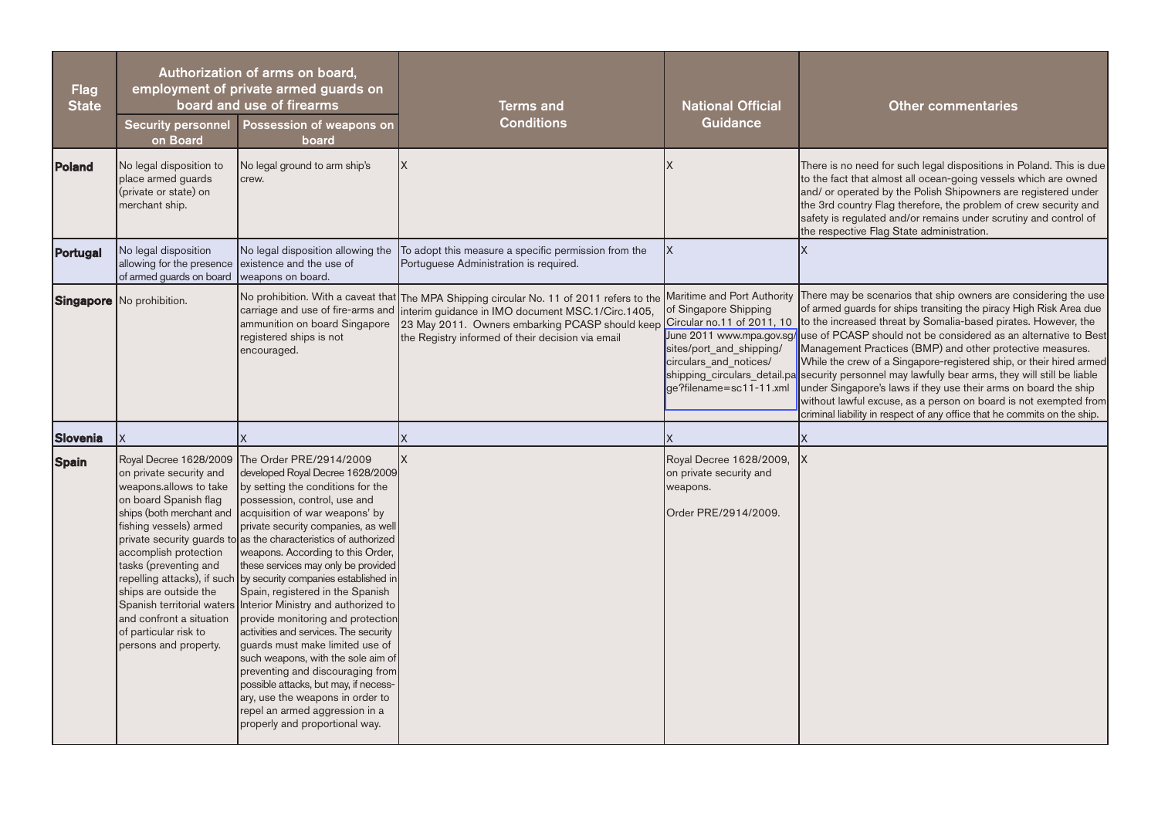| <b>Flag</b><br><b>State</b> | Authorization of arms on board,<br>employment of private armed guards on<br>board and use of firearms                                                                                                                                                                                                               |                                                                                                                                                                                                                                                                                                                                                                                                                                                                                                                                                                                                                                                                                                                                                                                                                                                                                | <b>Terms and</b><br><b>Conditions</b>                                                                                                                                                                                                                  | <b>National Official</b><br><b>Guidance</b>                                                                                          | <b>Other commentaries</b>                                                                                                                                                                                                                                                                                                                                                                                                                                                                                                                                                                                                                                                                                                                                                                    |
|-----------------------------|---------------------------------------------------------------------------------------------------------------------------------------------------------------------------------------------------------------------------------------------------------------------------------------------------------------------|--------------------------------------------------------------------------------------------------------------------------------------------------------------------------------------------------------------------------------------------------------------------------------------------------------------------------------------------------------------------------------------------------------------------------------------------------------------------------------------------------------------------------------------------------------------------------------------------------------------------------------------------------------------------------------------------------------------------------------------------------------------------------------------------------------------------------------------------------------------------------------|--------------------------------------------------------------------------------------------------------------------------------------------------------------------------------------------------------------------------------------------------------|--------------------------------------------------------------------------------------------------------------------------------------|----------------------------------------------------------------------------------------------------------------------------------------------------------------------------------------------------------------------------------------------------------------------------------------------------------------------------------------------------------------------------------------------------------------------------------------------------------------------------------------------------------------------------------------------------------------------------------------------------------------------------------------------------------------------------------------------------------------------------------------------------------------------------------------------|
|                             | <b>Security personnel</b><br>on Board                                                                                                                                                                                                                                                                               | Possession of weapons on<br>board                                                                                                                                                                                                                                                                                                                                                                                                                                                                                                                                                                                                                                                                                                                                                                                                                                              |                                                                                                                                                                                                                                                        |                                                                                                                                      |                                                                                                                                                                                                                                                                                                                                                                                                                                                                                                                                                                                                                                                                                                                                                                                              |
| Poland                      | No legal disposition to<br>place armed guards<br>(private or state) on<br>merchant ship.                                                                                                                                                                                                                            | No legal ground to arm ship's<br>crew.                                                                                                                                                                                                                                                                                                                                                                                                                                                                                                                                                                                                                                                                                                                                                                                                                                         | lx.                                                                                                                                                                                                                                                    |                                                                                                                                      | There is no need for such legal dispositions in Poland. This is due<br>to the fact that almost all ocean-going vessels which are owned<br>and/ or operated by the Polish Shipowners are registered under<br>the 3rd country Flag therefore, the problem of crew security and<br>safety is regulated and/or remains under scrutiny and control of<br>the respective Flag State administration.                                                                                                                                                                                                                                                                                                                                                                                                |
| Portugal                    | No legal disposition<br>allowing for the presence<br>of armed guards on board                                                                                                                                                                                                                                       | No legal disposition allowing the<br>existence and the use of<br>weapons on board.                                                                                                                                                                                                                                                                                                                                                                                                                                                                                                                                                                                                                                                                                                                                                                                             | To adopt this measure a specific permission from the<br>Portuguese Administration is required.                                                                                                                                                         | X                                                                                                                                    |                                                                                                                                                                                                                                                                                                                                                                                                                                                                                                                                                                                                                                                                                                                                                                                              |
|                             | <b>Singapore</b> No prohibition.                                                                                                                                                                                                                                                                                    | carriage and use of fire-arms and<br>ammunition on board Singapore<br>registered ships is not<br>encouraged.                                                                                                                                                                                                                                                                                                                                                                                                                                                                                                                                                                                                                                                                                                                                                                   | No prohibition. With a caveat that The MPA Shipping circular No. 11 of 2011 refers to the<br>interim guidance in IMO document MSC.1/Circ.1405,<br>23 May 2011. Owners embarking PCASP should keep<br>the Registry informed of their decision via email | of Singapore Shipping<br>Circular no.11 of 2011, 10<br>sites/port and shipping/<br>circulars and notices/<br>ge?filename=sc11-11.xml | Maritime and Port Authority There may be scenarios that ship owners are considering the use<br>of armed guards for ships transiting the piracy High Risk Area due<br>to the increased threat by Somalia-based pirates. However, the<br>June 2011 www.mpa.gov.sg/ use of PCASP should not be considered as an alternative to Best<br>Management Practices (BMP) and other protective measures.<br>While the crew of a Singapore-registered ship, or their hired armed<br>shipping_circulars_detail.pa security personnel may lawfully bear arms, they will still be liable<br>under Singapore's laws if they use their arms on board the ship<br>without lawful excuse, as a person on board is not exempted from<br>criminal liability in respect of any office that he commits on the ship. |
| <b>Slovenia</b>             | X                                                                                                                                                                                                                                                                                                                   |                                                                                                                                                                                                                                                                                                                                                                                                                                                                                                                                                                                                                                                                                                                                                                                                                                                                                |                                                                                                                                                                                                                                                        |                                                                                                                                      |                                                                                                                                                                                                                                                                                                                                                                                                                                                                                                                                                                                                                                                                                                                                                                                              |
| <b>Spain</b>                | Royal Decree 1628/2009<br>on private security and<br>weapons.allows to take<br>on board Spanish flag<br>ships (both merchant and<br>fishing vessels) armed<br>accomplish protection<br>tasks (preventing and<br>ships are outside the<br>and confront a situation<br>of particular risk to<br>persons and property. | The Order PRE/2914/2009<br>developed Royal Decree 1628/2009<br>by setting the conditions for the<br>possession, control, use and<br>acquisition of war weapons' by<br>private security companies, as well<br>private security guards to as the characteristics of authorized<br>weapons. According to this Order,<br>these services may only be provided<br>repelling attacks), if such by security companies established in<br>Spain, registered in the Spanish<br>Spanish territorial waters Interior Ministry and authorized to<br>provide monitoring and protection<br>activities and services. The security<br>quards must make limited use of<br>such weapons, with the sole aim of<br>preventing and discouraging from<br>possible attacks, but may, if necess-<br>ary, use the weapons in order to<br>repel an armed aggression in a<br>properly and proportional way. | <b>X</b>                                                                                                                                                                                                                                               | Royal Decree 1628/2009,<br>on private security and<br>weapons.<br>Order PRE/2914/2009.                                               |                                                                                                                                                                                                                                                                                                                                                                                                                                                                                                                                                                                                                                                                                                                                                                                              |